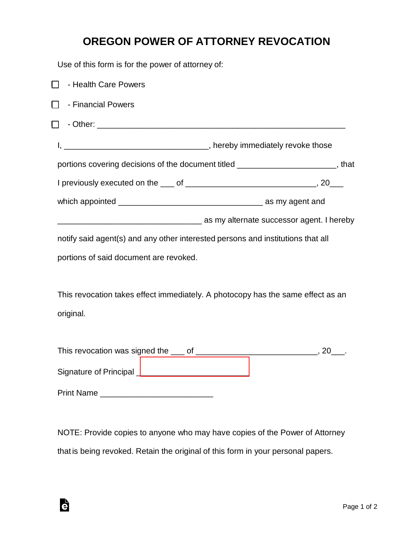## **OREGON POWER OF ATTORNEY REVOCATION**

Use of this form is for the power of attorney of:

| - Health Care Powers                                                                             |  |
|--------------------------------------------------------------------------------------------------|--|
| - Financial Powers<br>$\Box$                                                                     |  |
| $\Box$                                                                                           |  |
|                                                                                                  |  |
| portions covering decisions of the document titled ________________________, that                |  |
|                                                                                                  |  |
|                                                                                                  |  |
| as my alternate successor agent. I hereby and the matter of the matter successor agent. I hereby |  |
| notify said agent(s) and any other interested persons and institutions that all                  |  |
| portions of said document are revoked.                                                           |  |
| This revocation takes effect immediately. A photocopy has the same effect as an<br>original.     |  |
|                                                                                                  |  |
| Signature of Principal ________________________________                                          |  |
|                                                                                                  |  |

NOTE: Provide copies to anyone who may have copies of the Power of Attorney that is being revoked. Retain the original of this form in your personal papers.

è